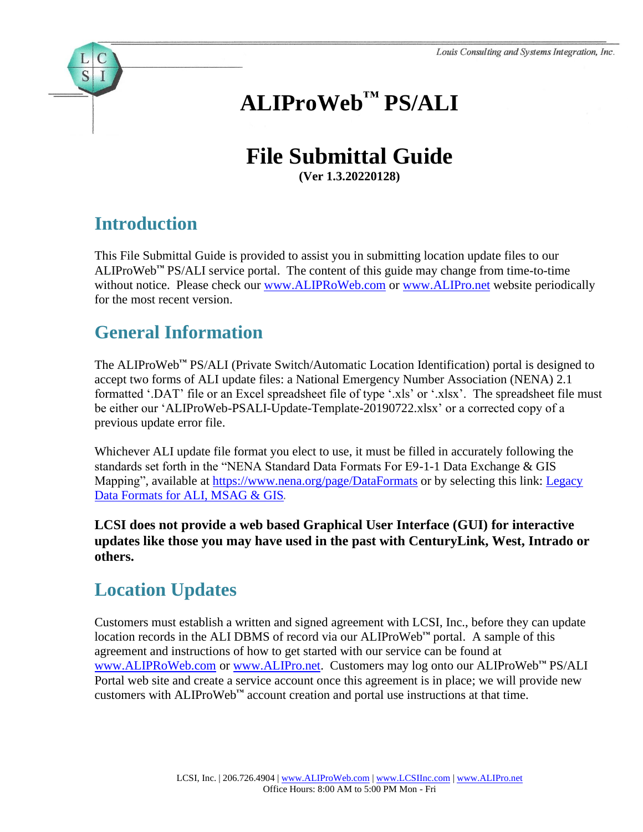# **ALIProWeb™ PS/ALI**

# **File Submittal Guide**

**(Ver 1.3.20220128)**

## **Introduction**

 $S$ 

This File Submittal Guide is provided to assist you in submitting location update files to our ALIProWeb**™** PS/ALI service portal. The content of this guide may change from time-to-time without notice. Please check our [www.ALIPRoWeb.com](http://www.aliproweb.com/) or [www.ALIPro.net](http://www.alipro.net/) website periodically for the most recent version.

### **General Information**

The ALIProWeb**™** PS/ALI (Private Switch/Automatic Location Identification) portal is designed to accept two forms of ALI update files: a National Emergency Number Association (NENA) 2.1 formatted '.DAT' file or an Excel spreadsheet file of type '.xls' or '.xlsx'. The spreadsheet file must be either our 'ALIProWeb-PSALI-Update-Template-20190722.xlsx' or a corrected copy of a previous update error file.

Whichever ALI update file format you elect to use, it must be filled in accurately following the standards set forth in the "NENA Standard Data Formats For E9-1-1 Data Exchange & GIS Mapping", available at <https://www.nena.org/page/DataFormats> or by selecting this link: Legacy [Data Formats for ALI, MSAG & GIS](https://www.nena.org/resource/resmgr/standards/nena-sta-015.10-2018_datafor.pdf).

**LCSI does not provide a web based Graphical User Interface (GUI) for interactive updates like those you may have used in the past with CenturyLink, West, Intrado or others.**

# **Location Updates**

Customers must establish a written and signed agreement with LCSI, Inc., before they can update location records in the ALI DBMS of record via our ALIProWeb**™** portal. A sample of this agreement and instructions of how to get started with our service can be found at [www.ALIPRoWeb.com](http://www.aliproweb.com/) or [www.ALIPro.net.](http://www.alipro.net/) Customers may log onto our ALIProWeb**™** PS/ALI Portal web site and create a service account once this agreement is in place; we will provide new customers with ALIProWeb**™** account creation and portal use instructions at that time.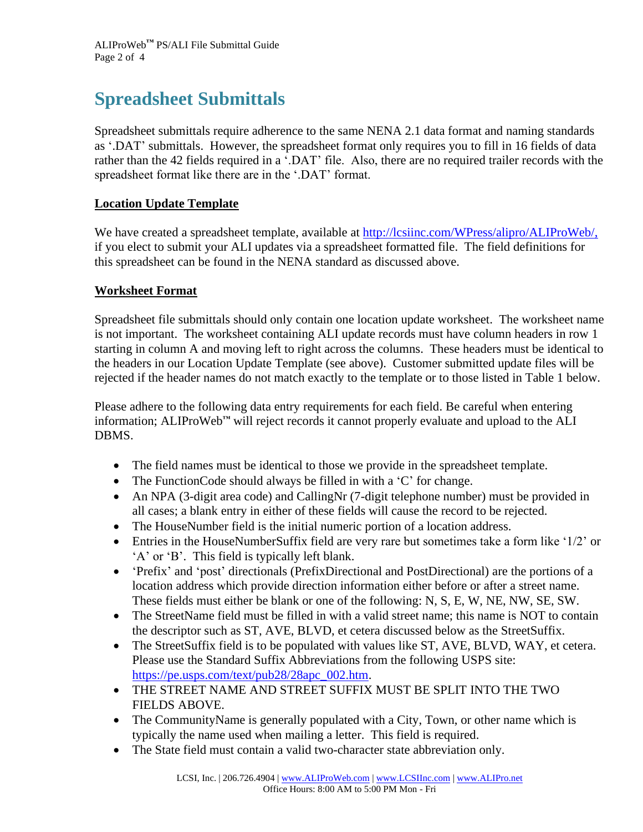# **Spreadsheet Submittals**

Spreadsheet submittals require adherence to the same NENA 2.1 data format and naming standards as '.DAT' submittals. However, the spreadsheet format only requires you to fill in 16 fields of data rather than the 42 fields required in a '.DAT' file. Also, there are no required trailer records with the spreadsheet format like there are in the '.DAT' format.

#### **Location Update Template**

We have created a spreadsheet template, available at [http://lcsiinc.com/WPress/alipro/ALIProWeb/,](http://lcsiinc.com/WPress/alipro/ALIProWeb/) if you elect to submit your ALI updates via a spreadsheet formatted file. The field definitions for this spreadsheet can be found in the NENA standard as discussed above.

#### **Worksheet Format**

Spreadsheet file submittals should only contain one location update worksheet. The worksheet name is not important. The worksheet containing ALI update records must have column headers in row 1 starting in column A and moving left to right across the columns. These headers must be identical to the headers in our Location Update Template (see above). Customer submitted update files will be rejected if the header names do not match exactly to the template or to those listed in Table 1 below.

Please adhere to the following data entry requirements for each field. Be careful when entering information; ALIProWeb**™** will reject records it cannot properly evaluate and upload to the ALI DBMS.

- The field names must be identical to those we provide in the spreadsheet template.
- The Function Code should always be filled in with a 'C' for change.
- An NPA (3-digit area code) and CallingNr (7-digit telephone number) must be provided in all cases; a blank entry in either of these fields will cause the record to be rejected.
- The HouseNumber field is the initial numeric portion of a location address.
- Entries in the HouseNumberSuffix field are very rare but sometimes take a form like '1/2' or 'A' or 'B'. This field is typically left blank.
- 'Prefix' and 'post' directionals (PrefixDirectional and PostDirectional) are the portions of a location address which provide direction information either before or after a street name. These fields must either be blank or one of the following: N, S, E, W, NE, NW, SE, SW.
- The StreetName field must be filled in with a valid street name; this name is NOT to contain the descriptor such as ST, AVE, BLVD, et cetera discussed below as the StreetSuffix.
- The StreetSuffix field is to be populated with values like ST, AVE, BLVD, WAY, et cetera. Please use the Standard Suffix Abbreviations from the following USPS site: [https://pe.usps.com/text/pub28/28apc\\_002.htm.](https://pe.usps.com/text/pub28/28apc_002.htm)
- THE STREET NAME AND STREET SUFFIX MUST BE SPLIT INTO THE TWO FIELDS ABOVE.
- The CommunityName is generally populated with a City, Town, or other name which is typically the name used when mailing a letter. This field is required.
- The State field must contain a valid two-character state abbreviation only.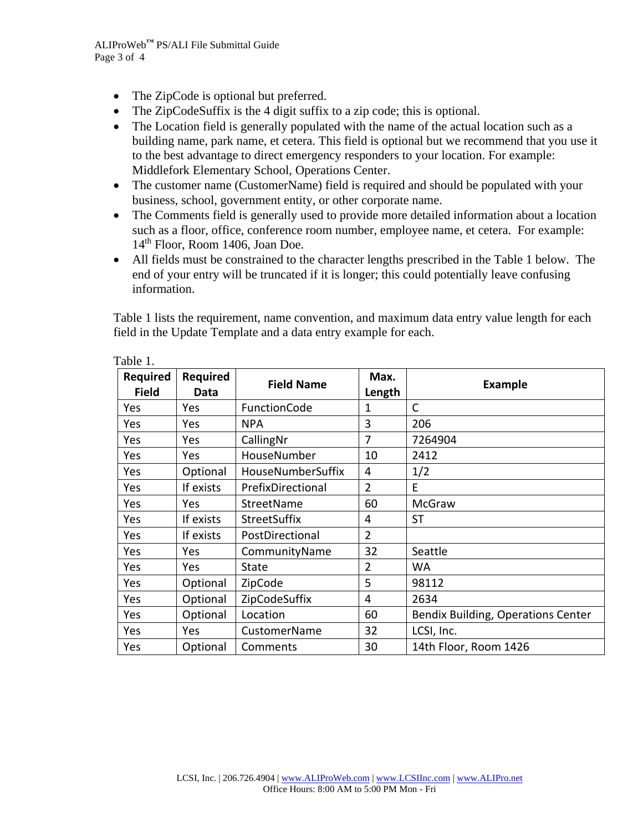- The ZipCode is optional but preferred.
- The ZipCodeSuffix is the 4 digit suffix to a zip code; this is optional.
- The Location field is generally populated with the name of the actual location such as a building name, park name, et cetera. This field is optional but we recommend that you use it to the best advantage to direct emergency responders to your location. For example: Middlefork Elementary School, Operations Center.
- The customer name (CustomerName) field is required and should be populated with your business, school, government entity, or other corporate name.
- The Comments field is generally used to provide more detailed information about a location such as a floor, office, conference room number, employee name, et cetera. For example: 14<sup>th</sup> Floor, Room 1406, Joan Doe.
- All fields must be constrained to the character lengths prescribed in the Table 1 below. The end of your entry will be truncated if it is longer; this could potentially leave confusing information.

Table 1 lists the requirement, name convention, and maximum data entry value length for each field in the Update Template and a data entry example for each.

| <b>Required</b><br><b>Field</b> | <b>Required</b><br>Data | <b>Field Name</b>        | Max.<br>Length | <b>Example</b>                     |
|---------------------------------|-------------------------|--------------------------|----------------|------------------------------------|
| Yes                             | Yes                     | FunctionCode             | 1              | C                                  |
| Yes                             | <b>Yes</b>              | <b>NPA</b>               | 3              | 206                                |
| Yes                             | Yes                     | CallingNr                | $\overline{7}$ | 7264904                            |
| Yes                             | Yes                     | HouseNumber              | 10             | 2412                               |
| Yes                             | Optional                | <b>HouseNumberSuffix</b> | 4              | 1/2                                |
| Yes                             | If exists               | PrefixDirectional        | $\overline{2}$ | E                                  |
| Yes                             | Yes                     | StreetName               | 60             | <b>McGraw</b>                      |
| Yes                             | If exists               | <b>StreetSuffix</b>      | 4              | <b>ST</b>                          |
| Yes                             | If exists               | PostDirectional          | $\overline{2}$ |                                    |
| Yes                             | Yes                     | CommunityName            | 32             | Seattle                            |
| Yes                             | Yes                     | State                    | $\overline{2}$ | <b>WA</b>                          |
| Yes                             | Optional                | ZipCode                  | 5              | 98112                              |
| Yes                             | Optional                | ZipCodeSuffix            | 4              | 2634                               |
| Yes                             | Optional                | Location                 | 60             | Bendix Building, Operations Center |
| Yes                             | Yes                     | CustomerName             | 32             | LCSI, Inc.                         |
| Yes                             | Optional                | Comments                 | 30             | 14th Floor, Room 1426              |

Table 1.